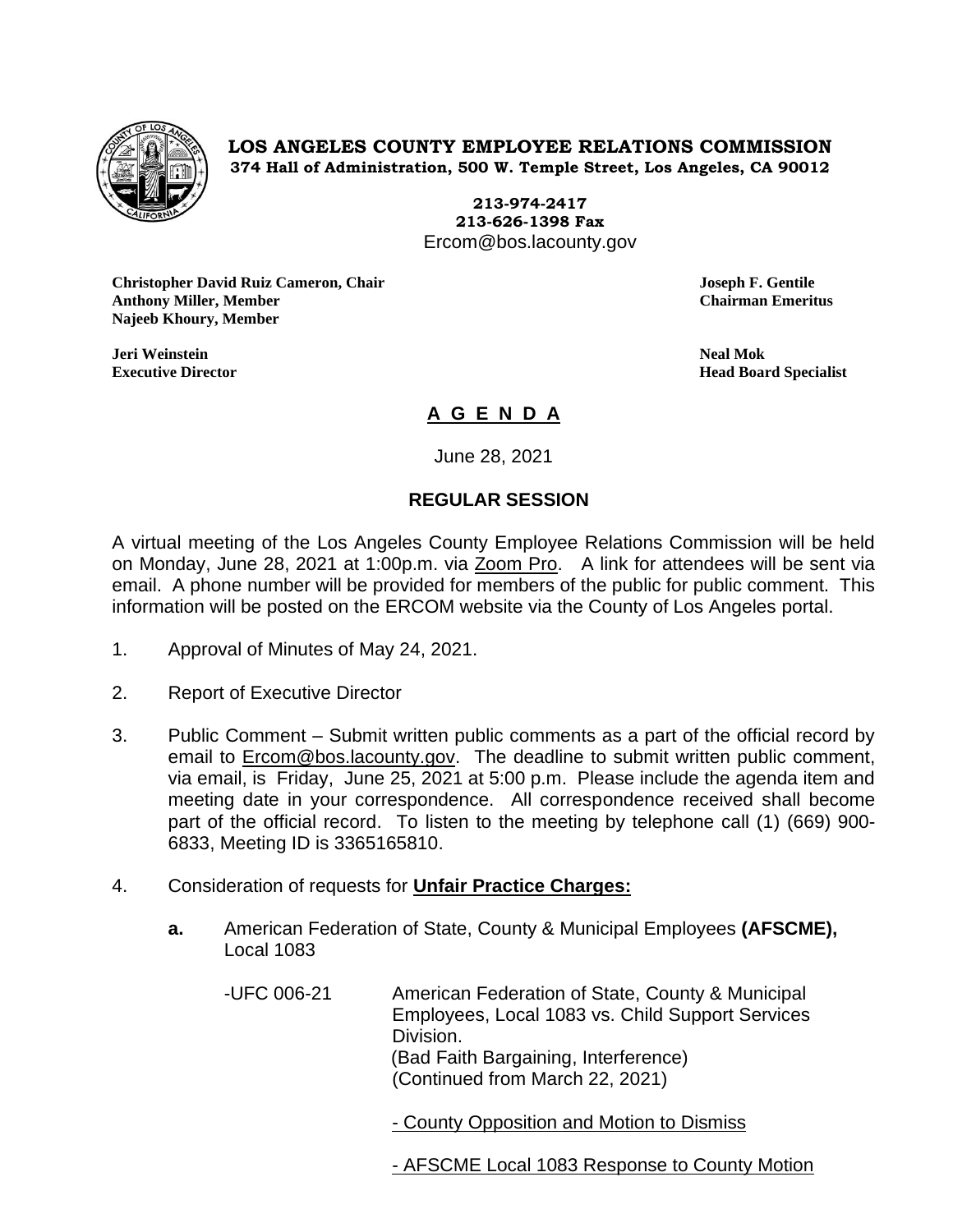

**LOS ANGELES COUNTY EMPLOYEE RELATIONS COMMISSION 374 Hall of Administration, 500 W. Temple Street, Los Angeles, CA 90012**

> **213-974-2417 213-626-1398 Fax** Ercom@bos.lacounty.gov

**Christopher David Ruiz Cameron, Chair Joseph F. Gentile Anthony Miller, Member Chairman Emeritus Najeeb Khoury, Member**

**Jeri Weinstein Neal Mok**

**Executive Director Head Board Specialist**

# **A G E N D A**

June 28, 2021

# **REGULAR SESSION**

A virtual meeting of the Los Angeles County Employee Relations Commission will be held on Monday, June 28, 2021 at 1:00p.m. via Zoom Pro. A link for attendees will be sent via email. A phone number will be provided for members of the public for public comment. This information will be posted on the ERCOM website via the County of Los Angeles portal.

- 1. Approval of Minutes of May 24, 2021.
- 2. Report of Executive Director
- 3. Public Comment Submit written public comments as a part of the official record by email to [Ercom@bos.lacounty.gov.](mailto:Ercom@bos.lacounty.gov) The deadline to submit written public comment, via email, is Friday, June 25, 2021 at 5:00 p.m. Please include the agenda item and meeting date in your correspondence. All correspondence received shall become part of the official record. To listen to the meeting by telephone call (1) (669) 900- 6833, Meeting ID is 3365165810.
- 4. Consideration of requests for **Unfair Practice Charges:**
	- **a.** American Federation of State, County & Municipal Employees **(AFSCME),** Local 1083

-UFC 006-21 American Federation of State, County & Municipal Employees, Local 1083 vs. Child Support Services Division. (Bad Faith Bargaining, Interference) (Continued from March 22, 2021)

- County Opposition and Motion to Dismiss

- AFSCME Local 1083 Response to County Motion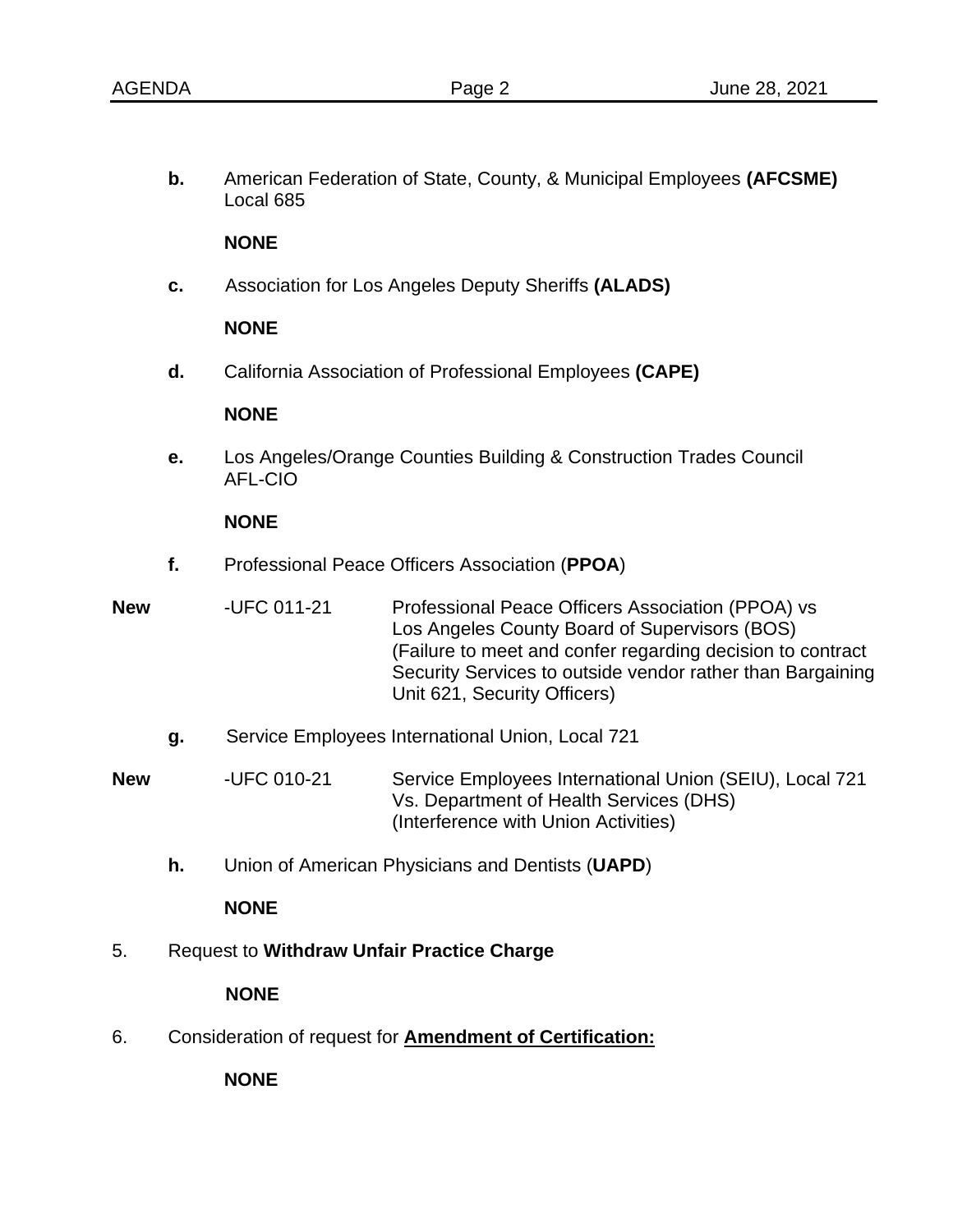**b.** American Federation of State, County, & Municipal Employees **(AFCSME)** Local 685

### **NONE**

**c.** Association for Los Angeles Deputy Sheriffs **(ALADS)**

### **NONE**

**d.** California Association of Professional Employees **(CAPE)**

# **NONE**

**e.** Los Angeles/Orange Counties Building & Construction Trades Council AFL-CIO

### **NONE**

- **f.** Professional Peace Officers Association (**PPOA**)
- **New -UFC 011-21** Professional Peace Officers Association (PPOA) vs Los Angeles County Board of Supervisors (BOS) (Failure to meet and confer regarding decision to contract Security Services to outside vendor rather than Bargaining Unit 621, Security Officers)
	- **g.** Service Employees International Union, Local 721

**New** -UFC 010-21 Service Employees International Union (SEIU), Local 721 Vs. Department of Health Services (DHS) (Interference with Union Activities)

**h.** Union of American Physicians and Dentists (**UAPD**)

#### **NONE**

5. Request to **Withdraw Unfair Practice Charge**

# **NONE**

6. Consideration of request for **Amendment of Certification:**

**NONE**